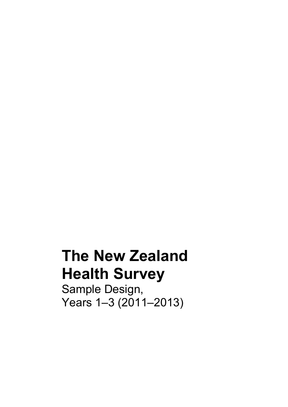# **The New Zealand Health Survey**

Sample Design, Years 1–3 (2011–2013)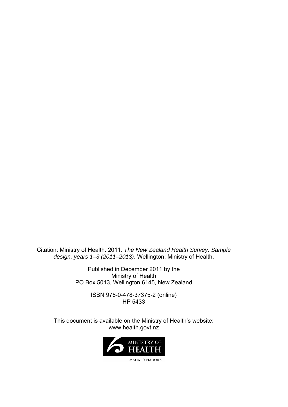Citation: Ministry of Health. 2011. *The New Zealand Health Survey: Sample design, years 1–3 (2011–2013)*. Wellington: Ministry of Health.

> Published in December 2011 by the Ministry of Health PO Box 5013, Wellington 6145, New Zealand

> > ISBN 978-0-478-37375-2 (online) HP 5433

This document is available on the Ministry of Health's website: www.health.govt.nz

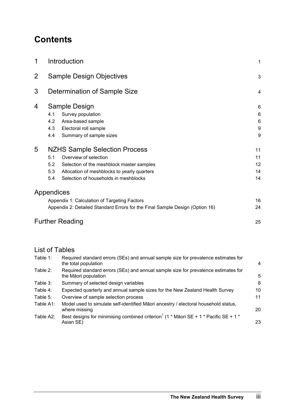# **Contents**

| 1              | Introduction                                                                 |    |  |  |  |  |  |
|----------------|------------------------------------------------------------------------------|----|--|--|--|--|--|
| $\overline{2}$ | <b>Sample Design Objectives</b>                                              |    |  |  |  |  |  |
| 3              | Determination of Sample Size                                                 | 4  |  |  |  |  |  |
| 4              | Sample Design                                                                | 6  |  |  |  |  |  |
|                | Survey population<br>4.1                                                     | 6  |  |  |  |  |  |
|                | 4.2<br>Area-based sample                                                     | 6  |  |  |  |  |  |
|                | 4.3<br>Electoral roll sample                                                 | 9  |  |  |  |  |  |
|                | 4.4<br>Summary of sample sizes                                               | 9  |  |  |  |  |  |
| 5              | NZHS Sample Selection Process                                                | 11 |  |  |  |  |  |
|                | 5.1<br>Overview of selection                                                 | 11 |  |  |  |  |  |
|                | 5.2<br>Selection of the meshblock master samples                             | 12 |  |  |  |  |  |
|                | 5.3<br>Allocation of meshblocks to yearly quarters                           | 14 |  |  |  |  |  |
|                | Selection of households in meshblocks<br>5.4                                 | 14 |  |  |  |  |  |
|                | Appendices                                                                   |    |  |  |  |  |  |
|                | Appendix 1: Calculation of Targeting Factors                                 | 16 |  |  |  |  |  |
|                | Appendix 2: Detailed Standard Errors for the Final Sample Design (Option 16) | 24 |  |  |  |  |  |
|                | <b>Further Reading</b>                                                       | 25 |  |  |  |  |  |

# List of Tables

| Table 1:  | Required standard errors (SEs) and annual sample size for prevalence estimates for<br>the total population          | $\overline{4}$ |
|-----------|---------------------------------------------------------------------------------------------------------------------|----------------|
| Table 2:  | Required standard errors (SEs) and annual sample size for prevalence estimates for<br>the Māori population          | 5              |
| Table 3:  | Summary of selected design variables                                                                                | 8              |
| Table 4:  | Expected quarterly and annual sample sizes for the New Zealand Health Survey                                        | 10             |
| Table 5:  | Overview of sample selection process                                                                                | 11             |
| Table A1: | Model used to simulate self-identified Māori ancestry / electoral household status,<br>where missing                | 20             |
| Table A2: | Best designs for minimising combined criterion <sup>1</sup> (1 $*$ Maori SE + 1 $*$ Pacific SE + 1 $*$<br>Asian SE) | 23             |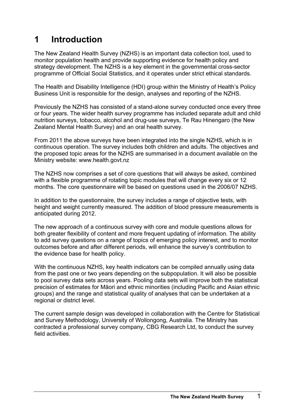# <span id="page-4-0"></span>**1 Introduction**

The New Zealand Health Survey (NZHS) is an important data collection tool, used to monitor population health and provide supporting evidence for health policy and strategy development. The NZHS is a key element in the governmental cross-sector programme of Official Social Statistics, and it operates under strict ethical standards.

The Health and Disability Intelligence (HDI) group within the Ministry of Health's Policy Business Unit is responsible for the design, analyses and reporting of the NZHS.

Previously the NZHS has consisted of a stand-alone survey conducted once every three or four years. The wider health survey programme has included separate adult and child nutrition surveys, tobacco, alcohol and drug-use surveys, Te Rau Hinengaro (the New Zealand Mental Health Survey) and an oral health survey.

From 2011 the above surveys have been integrated into the single NZHS, which is in continuous operation. The survey includes both children and adults. The objectives and the proposed topic areas for the NZHS are summarised in a document available on the Ministry website: www.health.govt.nz

The NZHS now comprises a set of core questions that will always be asked, combined with a flexible programme of rotating topic modules that will change every six or 12 months. The core questionnaire will be based on questions used in the 2006/07 NZHS.

In addition to the questionnaire, the survey includes a range of objective tests, with height and weight currently measured. The addition of blood pressure measurements is anticipated during 2012.

The new approach of a continuous survey with core and module questions allows for both greater flexibility of content and more frequent updating of information. The ability to add survey questions on a range of topics of emerging policy interest, and to monitor outcomes before and after different periods, will enhance the survey's contribution to the evidence base for health policy.

With the continuous NZHS, key health indicators can be compiled annually using data from the past one or two years depending on the subpopulation. It will also be possible to pool survey data sets across years. Pooling data sets will improve both the statistical precision of estimates for Māori and ethnic minorities (including Pacific and Asian ethnic groups) and the range and statistical quality of analyses that can be undertaken at a regional or district level.

The current sample design was developed in collaboration with the Centre for Statistical and Survey Methodology, University of Wollongong, Australia. The Ministry has contracted a professional survey company, CBG Research Ltd, to conduct the survey field activities.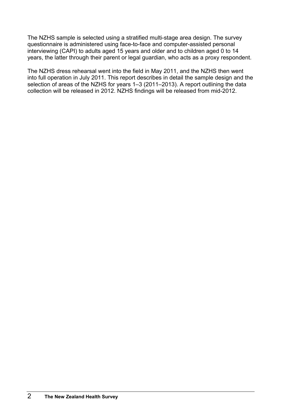The NZHS sample is selected using a stratified multi-stage area design. The survey questionnaire is administered using face-to-face and computer-assisted personal interviewing (CAPI) to adults aged 15 years and older and to children aged 0 to 14 years, the latter through their parent or legal guardian, who acts as a proxy respondent.

The NZHS dress rehearsal went into the field in May 2011, and the NZHS then went into full operation in July 2011. This report describes in detail the sample design and the selection of areas of the NZHS for years 1–3 (2011–2013). A report outlining the data collection will be released in 2012. NZHS findings will be released from mid-2012.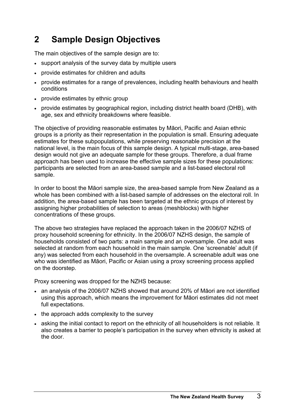# <span id="page-6-0"></span>**2 Sample Design Objectives**

The main objectives of the sample design are to:

- support analysis of the survey data by multiple users
- provide estimates for children and adults
- provide estimates for a range of prevalences, including health behaviours and health conditions
- provide estimates by ethnic group
- provide estimates by geographical region, including district health board (DHB), with age, sex and ethnicity breakdowns where feasible.

The objective of providing reasonable estimates by Māori, Pacific and Asian ethnic groups is a priority as their representation in the population is small. Ensuring adequate estimates for these subpopulations, while preserving reasonable precision at the national level, is the main focus of this sample design. A typical multi-stage, area-based design would not give an adequate sample for these groups. Therefore, a dual frame approach has been used to increase the effective sample sizes for these populations: participants are selected from an area-based sample and a list-based electoral roll sample.

In order to boost the Māori sample size, the area-based sample from New Zealand as a whole has been combined with a list-based sample of addresses on the electoral roll. In addition, the area-based sample has been targeted at the ethnic groups of interest by assigning higher probabilities of selection to areas (meshblocks) with higher concentrations of these groups.

The above two strategies have replaced the approach taken in the 2006/07 NZHS of proxy household screening for ethnicity. In the 2006/07 NZHS design, the sample of households consisted of two parts: a main sample and an oversample. One adult was selected at random from each household in the main sample. One 'screenable' adult (if any) was selected from each household in the oversample. A screenable adult was one who was identified as Māori, Pacific or Asian using a proxy screening process applied on the doorstep.

Proxy screening was dropped for the NZHS because:

- an analysis of the 2006/07 NZHS showed that around 20% of Māori are not identified using this approach, which means the improvement for Māori estimates did not meet full expectations.
- the approach adds complexity to the survey
- asking the initial contact to report on the ethnicity of all householders is not reliable. It also creates a barrier to people's participation in the survey when ethnicity is asked at the door.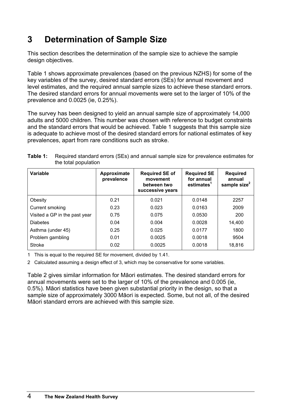# <span id="page-7-0"></span>**3 Determination of Sample Size**

This section describes the determination of the sample size to achieve the sample design objectives.

Table 1 shows approximate prevalences (based on the previous NZHS) for some of the key variables of the survey, desired standard errors (SEs) for annual movement and level estimates, and the required annual sample sizes to achieve these standard errors. The desired standard errors for annual movements were set to the larger of 10% of the prevalence and 0.0025 (ie, 0.25%).

The survey has been designed to yield an annual sample size of approximately 14,000 adults and 5000 children. This number was chosen with reference to budget constraints and the standard errors that would be achieved. Table 1 suggests that this sample size is adequate to achieve most of the desired standard errors for national estimates of key prevalences, apart from rare conditions such as stroke.

| Variable                      | Approximate<br>prevalence | <b>Required SE of</b><br>movement<br>between two<br>successive years | <b>Required SE</b><br>for annual<br>estimates <sup>1</sup> | <b>Required</b><br>annual<br>sample size $2$ |
|-------------------------------|---------------------------|----------------------------------------------------------------------|------------------------------------------------------------|----------------------------------------------|
| Obesity                       | 0.21                      | 0.021                                                                | 0.0148                                                     | 2257                                         |
| Current smoking               | 0.23                      | 0.023                                                                | 0.0163                                                     | 2009                                         |
| Visited a GP in the past year | 0.75                      | 0.075                                                                | 0.0530                                                     | 200                                          |
| <b>Diabetes</b>               | 0.04                      | 0.004                                                                | 0.0028                                                     | 14,400                                       |
| Asthma (under 45)             | 0.25                      | 0.025                                                                | 0.0177                                                     | 1800                                         |
| Problem gambling              | 0.01                      | 0.0025                                                               | 0.0018                                                     | 9504                                         |
| <b>Stroke</b>                 | 0.02                      | 0.0025                                                               | 0.0018                                                     | 18,816                                       |

| <b>Table 1:</b> Required standard errors (SEs) and annual sample size for prevalence estimates for |
|----------------------------------------------------------------------------------------------------|
| the total population                                                                               |

1 This is equal to the required SE for movement, divided by 1.41.

2 Calculated assuming a design effect of 3, which may be conservative for some variables.

Table 2 gives similar information for Māori estimates. The desired standard errors for annual movements were set to the larger of 10% of the prevalence and 0.005 (ie, 0.5%). Māori statistics have been given substantial priority in the design, so that a sample size of approximately 3000 Māori is expected. Some, but not all, of the desired Māori standard errors are achieved with this sample size.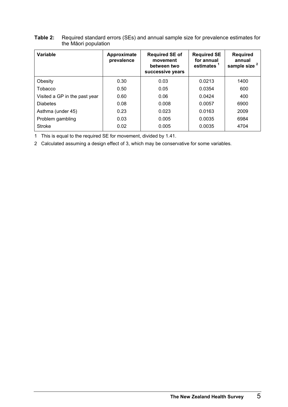| Variable                      | Approximate<br>prevalence | <b>Required SE of</b><br>movement<br>between two<br>successive years | <b>Required SE</b><br>for annual<br>estimates <sup>1</sup> | <b>Required</b><br>annual<br>sample size <sup>2</sup> |
|-------------------------------|---------------------------|----------------------------------------------------------------------|------------------------------------------------------------|-------------------------------------------------------|
| Obesity                       | 0.30                      | 0.03                                                                 | 0.0213                                                     | 1400                                                  |
| Tobacco                       | 0.50                      | 0.05                                                                 | 0.0354                                                     | 600                                                   |
| Visited a GP in the past year | 0.60                      | 0.06                                                                 | 0.0424                                                     | 400                                                   |
| <b>Diabetes</b>               | 0.08                      | 0.008                                                                | 0.0057                                                     | 6900                                                  |
| Asthma (under 45)             | 0.23                      | 0.023                                                                | 0.0163                                                     | 2009                                                  |
| Problem gambling              | 0.03                      | 0.005                                                                | 0.0035                                                     | 6984                                                  |
| <b>Stroke</b>                 | 0.02                      | 0.005                                                                | 0.0035                                                     | 4704                                                  |

#### <span id="page-8-0"></span>**Table 2:** Required standard errors (SEs) and annual sample size for prevalence estimates for the Māori population

1 This is equal to the required SE for movement, divided by 1.41.

2 Calculated assuming a design effect of 3, which may be conservative for some variables.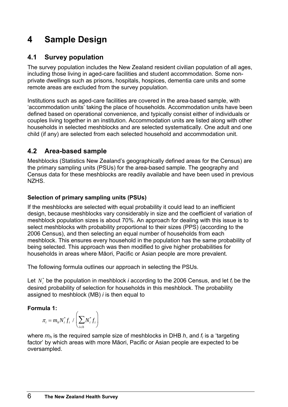# <span id="page-9-0"></span>**4 Sample Design**

# **4.1 Survey population**

The survey population includes the New Zealand resident civilian population of all ages, including those living in aged-care facilities and student accommodation. Some nonprivate dwellings such as prisons, hospitals, hospices, dementia care units and some remote areas are excluded from the survey population.

Institutions such as aged-care facilities are covered in the area-based sample, with 'accommodation units' taking the place of households. Accommodation units have been defined based on operational convenience, and typically consist either of individuals or couples living together in an institution. Accommodation units are listed along with other households in selected meshblocks and are selected systematically. One adult and one child (if any) are selected from each selected household and accommodation unit.

### **4.2 Area-based sample**

Meshblocks (Statistics New Zealand's geographically defined areas for the Census) are the primary sampling units (PSUs) for the area-based sample. The geography and Census data for these meshblocks are readily available and have been used in previous NZHS.

#### **Selection of primary sampling units (PSUs)**

If the meshblocks are selected with equal probability it could lead to an inefficient design, because meshblocks vary considerably in size and the coefficient of variation of meshblock population sizes is about 70%. An approach for dealing with this issue is to select meshblocks with probability proportional to their sizes (PPS) (according to the 2006 Census), and then selecting an equal number of households from each meshblock. This ensures every household in the population has the same probability of being selected. This approach was then modified to give higher probabilities for households in areas where Māori, Pacific or Asian people are more prevalent.

The following formula outlines our approach in selecting the PSUs.

Let  $N_i^*$  be the population in meshblock *i* according to the 2006 Census, and let  $f_i$  be the desired probability of selection for households in this meshblock. The probability assigned to meshblock (MB) *i* is then equal to

#### **Formula 1:**

$$
\pi_i = m_h N_i^* f_i / \left(\sum_{i \in h} N_i^* f_i\right)
$$

where  $m_h$  is the required sample size of meshblocks in DHB  $h$ , and  $f_i$  is a 'targeting' factor' by which areas with more Māori, Pacific or Asian people are expected to be oversampled.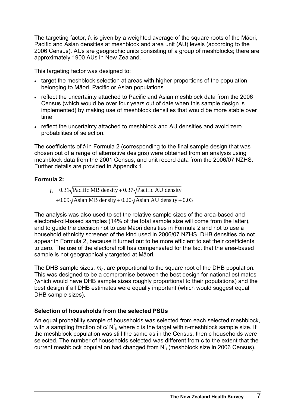The targeting factor, *fi*, is given by a weighted average of the square roots of the Māori, Pacific and Asian densities at meshblock and area unit (AU) levels (according to the 2006 Census). AUs are geographic units consisting of a group of meshblocks; there are approximately 1900 AUs in New Zealand.

This targeting factor was designed to:

- target the meshblock selection at areas with higher proportions of the population belonging to Māori, Pacific or Asian populations
- reflect the uncertainty attached to Pacific and Asian meshblock data from the 2006 Census (which would be over four years out of date when this sample design is implemented) by making use of meshblock densities that would be more stable over time
- reflect the uncertainty attached to meshblock and AU densities and avoid zero probabilities of selection.

The coefficients of *fi* in Formula 2 (corresponding to the final sample design that was chosen out of a range of alternative designs) were obtained from an analysis using meshblock data from the 2001 Census, and unit record data from the 2006/07 NZHS. Further details are provided in Appendix 1.

#### **Formula 2:**

$$
f_i = 0.31\sqrt{\text{Pacific MB density}} + 0.37\sqrt{\text{Pacific AU density}}
$$

$$
+ 0.09\sqrt{\text{Asian MB density}} + 0.20\sqrt{\text{Asian AU density}} + 0.03
$$

The analysis was also used to set the relative sample sizes of the area-based and electoral-roll-based samples (14% of the total sample size will come from the latter), and to guide the decision not to use Māori densities in Formula 2 and not to use a household ethnicity screener of the kind used in 2006/07 NZHS. DHB densities do not appear in Formula 2, because it turned out to be more efficient to set their coefficients to zero. The use of the electoral roll has compensated for the fact that the area-based sample is not geographically targeted at Māori.

The DHB sample sizes, *mh*, are proportional to the square root of the DHB population. This was designed to be a compromise between the best design for national estimates (which would have DHB sample sizes roughly proportional to their populations) and the best design if all DHB estimates were equally important (which would suggest equal DHB sample sizes).

#### **Selection of households from the selected PSUs**

An equal probability sample of households was selected from each selected meshblock, with a sampling fraction of c/ $N$ <sup>i</sup>, where c is the target within-meshblock sample size. If the meshblock population was still the same as in the Census, then c households were selected. The number of households selected was different from c to the extent that the current meshblock population had changed from  $N^*$ ; (meshblock size in 2006 Census).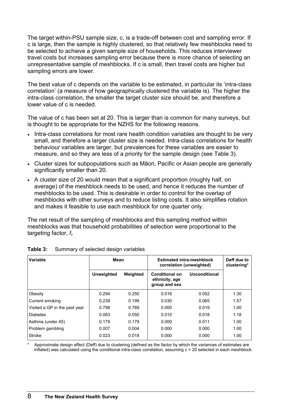<span id="page-11-0"></span>The target within-PSU sample size, c, is a trade-off between cost and sampling error. If c is large, then the sample is highly clustered, so that relatively few meshblocks need to be selected to achieve a given sample size of households. This reduces interviewer travel costs but increases sampling error because there is more chance of selecting an unrepresentative sample of meshblocks. If c is small, then travel costs are higher but sampling errors are lower.

The best value of c depends on the variable to be estimated, in particular its 'intra-class correlation' (a measure of how geographically clustered the variable is). The higher the intra-class correlation, the smaller the target cluster size should be, and therefore a lower value of c is needed.

The value of c has been set at 20. This is larger than is common for many surveys, but is thought to be appropriate for the NZHS for the following reasons.

- Intra-class correlations for most rare health condition variables are thought to be very small, and therefore a larger cluster size is needed. Intra-class correlations for health behaviour variables are larger, but prevalences for these variables are easier to measure, and so they are less of a priority for the sample design (see Table 3).
- Cluster sizes for subpopulations such as Māori, Pacific or Asian people are generally significantly smaller than 20.
- A cluster size of 20 would mean that a significant proportion (roughly half, on average) of the meshblock needs to be used, and hence it reduces the number of meshblocks to be used. This is desirable in order to control for the overlap of meshblocks with other surveys and to reduce listing costs. It also simplifies rotation and makes it feasible to use each meshblock for one quarter only.

The net result of the sampling of meshblocks and this sampling method within meshblocks was that household probabilities of selection were proportional to the targeting factor, *fi*.

| Variable                      | <b>Mean</b> |          | <b>Estimated intra-meshblock</b><br>correlation (unweighted) | Deff due to<br>clustering* |      |
|-------------------------------|-------------|----------|--------------------------------------------------------------|----------------------------|------|
|                               | Unweighted  | Weighted | <b>Conditional on</b><br>ethnicity, age<br>group and sex     | Unconditional              |      |
| Obesity                       | 0.294       | 0.250    | 0.016                                                        | 0.052                      | 1.30 |
| <b>Current smoking</b>        | 0.239       | 0.199    | 0.030                                                        | 0.065                      | 1.57 |
| Visited a GP in the past year | 0.799       | 0.789    | 0.000                                                        | 0.019                      | 1.00 |
| <b>Diabetes</b>               | 0.063       | 0.050    | 0.010                                                        | 0.018                      | 1.18 |
| Asthma (under 45)             | 0.179       | 0.179    | 0.000                                                        | 0.011                      | 1.00 |
| Problem gambling              | 0.007       | 0.004    | 0.000                                                        | 0.000                      | 1.00 |
| Stroke                        | 0.023       | 0.018    | 0.000                                                        | 0.000                      | 1.00 |

|  | <b>Table 3:</b> Summary of selected design variables |
|--|------------------------------------------------------|
|  |                                                      |

Approximate design effect (Deff) due to clustering (defined as the factor by which the variances of estimates are inflated) was calculated using the conditional intra-class correlation, assuming  $c = 20$  selected in each meshblock.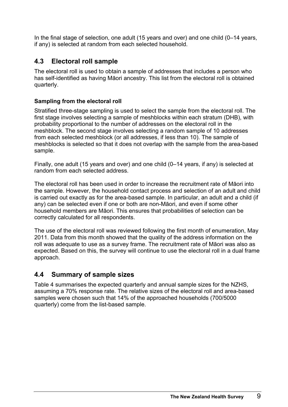<span id="page-12-0"></span>In the final stage of selection, one adult (15 years and over) and one child (0–14 years, if any) is selected at random from each selected household.

### **4.3 Electoral roll sample**

The electoral roll is used to obtain a sample of addresses that includes a person who has self-identified as having Māori ancestry. This list from the electoral roll is obtained quarterly.

#### **Sampling from the electoral roll**

Stratified three-stage sampling is used to select the sample from the electoral roll. The first stage involves selecting a sample of meshblocks within each stratum (DHB), with probability proportional to the number of addresses on the electoral roll in the meshblock. The second stage involves selecting a random sample of 10 addresses from each selected meshblock (or all addresses, if less than 10). The sample of meshblocks is selected so that it does not overlap with the sample from the area-based sample.

Finally, one adult (15 years and over) and one child (0–14 years, if any) is selected at random from each selected address.

The electoral roll has been used in order to increase the recruitment rate of Māori into the sample. However, the household contact process and selection of an adult and child is carried out exactly as for the area-based sample. In particular, an adult and a child (if any) can be selected even if one or both are non-Māori, and even if some other household members are Māori. This ensures that probabilities of selection can be correctly calculated for all respondents.

The use of the electoral roll was reviewed following the first month of enumeration, May 2011. Data from this month showed that the quality of the address information on the roll was adequate to use as a survey frame. The recruitment rate of Māori was also as expected. Based on this, the survey will continue to use the electoral roll in a dual frame approach.

### **4.4 Summary of sample sizes**

Table 4 summarises the expected quarterly and annual sample sizes for the NZHS, assuming a 70% response rate. The relative sizes of the electoral roll and area-based samples were chosen such that 14% of the approached households (700/5000 quarterly) come from the list-based sample.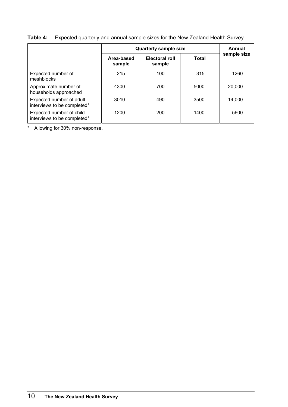|                                                         | <b>Quarterly sample size</b> | Annual                          |              |             |
|---------------------------------------------------------|------------------------------|---------------------------------|--------------|-------------|
|                                                         | Area-based<br>sample         | <b>Electoral roll</b><br>sample | <b>Total</b> | sample size |
| Expected number of<br>meshblocks                        | 215                          | 100                             | 315          | 1260        |
| Approximate number of<br>households approached          | 4300                         | 700                             | 5000         | 20,000      |
| Expected number of adult<br>interviews to be completed* | 3010                         | 490                             | 3500         | 14.000      |
| Expected number of child<br>interviews to be completed* | 1200                         | 200                             | 1400         | 5600        |

### <span id="page-13-0"></span>**Table 4:** Expected quarterly and annual sample sizes for the New Zealand Health Survey

\* Allowing for 30% non-response.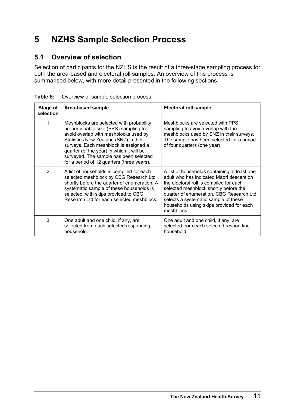# <span id="page-14-0"></span>**5 NZHS Sample Selection Process**

# **5.1 Overview of selection**

Selection of participants for the NZHS is the result of a three-stage sampling process for both the area-based and electoral roll samples. An overview of this process is summarised below, with more detail presented in the following sections.

| Stage of<br>selection | Area-based sample                                                                                                                                                                                                                                                                                                                                  | <b>Electoral roll sample</b>                                                                                                                                                                                                                                                                                               |
|-----------------------|----------------------------------------------------------------------------------------------------------------------------------------------------------------------------------------------------------------------------------------------------------------------------------------------------------------------------------------------------|----------------------------------------------------------------------------------------------------------------------------------------------------------------------------------------------------------------------------------------------------------------------------------------------------------------------------|
| 1                     | Meshblocks are selected with probability<br>proportional to size (PPS) sampling to<br>avoid overlap with meshblocks used by<br>Statistics New Zealand (SNZ) in their<br>surveys. Each meshblock is assigned a<br>quarter (of the year) in which it will be<br>surveyed. The sample has been selected<br>for a period of 12 quarters (three years). | Meshblocks are selected with PPS<br>sampling to avoid overlap with the<br>meshblocks used by SNZ in their surveys.<br>The sample has been selected for a period<br>of four quarters (one year).                                                                                                                            |
| $\overline{2}$        | A list of households is compiled for each<br>selected meshblock by CBG Research Ltd<br>shortly before the quarter of enumeration. A<br>systematic sample of these households is<br>selected, with skips provided to CBG<br>Research Ltd for each selected meshblock.                                                                               | A list of households containing at least one<br>adult who has indicated Maori descent on<br>the electoral roll is compiled for each<br>selected meshblock shortly before the<br>quarter of enumeration. CBG Research Ltd<br>selects a systematic sample of these<br>households using skips provided for each<br>meshblock. |
| 3                     | One adult and one child, if any, are<br>selected from each selected responding<br>household.                                                                                                                                                                                                                                                       | One adult and one child, if any, are<br>selected from each selected responding<br>household.                                                                                                                                                                                                                               |

**Table 5:** Overview of sample selection process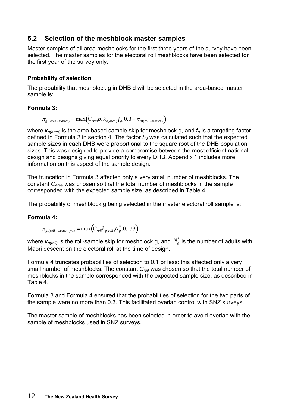### <span id="page-15-0"></span>**5.2 Selection of the meshblock master samples**

Master samples of all area meshblocks for the first three years of the survey have been selected. The master samples for the electoral roll meshblocks have been selected for the first year of the survey only.

#### **Probability of selection**

The probability that meshblock g in DHB d will be selected in the area-based master sample is:

#### **Formula 3:**

$$
\pi_{g1(area-master)} = \max(C_{area}b_d k_{g(area)} f_g, 0.3 - \pi_{g1(roll-master)})
$$

where  $k_{q(area)}$  is the area-based sample skip for meshblock g, and  $f_q$  is a targeting factor, defined in Formula 2 in section 4. The factor  $b_d$  was calculated such that the expected sample sizes in each DHB were proportional to the square root of the DHB population sizes. This was designed to provide a compromise between the most efficient national design and designs giving equal priority to every DHB. Appendix 1 includes more information on this aspect of the sample design.

The truncation in Formula 3 affected only a very small number of meshblocks. The constant *Carea* was chosen so that the total number of meshblocks in the sample corresponded with the expected sample size, as described in Table 4.

The probability of meshblock g being selected in the master electoral roll sample is:

#### <span id="page-15-1"></span>**Formula 4:**

 $\pi_{\text{gl}(\text{roll}-\text{master}-\text{yrl})} = \max\Bigl(C_{\text{roll}}k_{\text{g}(\text{roll})}N_{\text{g}}^*,0.1/3\Bigr)$ 

where  $k_{g(roll)}$  is the roll-sample skip for meshblock g, and  $N_s^*$  is the number of adults with Māori descent on the electoral roll at the time of design.

[Formula 4](#page-15-1) truncates probabilities of selection to 0.1 or less: this affected only a very small number of meshblocks. The constant  $C_{roll}$  was chosen so that the total number of meshblocks in the sample corresponded with the expected sample size, as described in Table 4.

Formula 3 and [Formula 4](#page-15-1) ensured that the probabilities of selection for the two parts of the sample were no more than 0.3. This facilitated overlap control with SNZ surveys.

The master sample of meshblocks has been selected in order to avoid overlap with the sample of meshblocks used in SNZ surveys.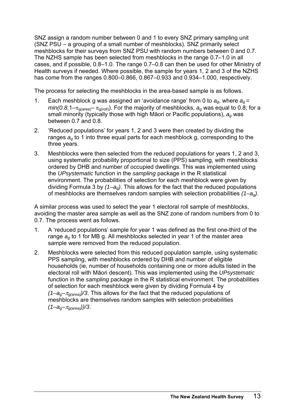SNZ assign a random number between 0 and 1 to every SNZ primary sampling unit (SNZ PSU – a grouping of a small number of meshblocks). SNZ primarily select meshblocks for their surveys from SNZ PSU with random numbers between 0 and 0.7. The NZHS sample has been selected from meshblocks in the range 0.7–1.0 in all cases, and if possible, 0.8–1.0. The range 0.7–0.8 can then be used for other Ministry of Health surveys if needed. Where possible, the sample for years 1, 2 and 3 of the NZHS has come from the ranges 0.800–0.866, 0.867–0.933 and 0.934–1.000, respectively.

The process for selecting the meshblocks in the area-based sample is as follows.

- 1. Each meshblock g was assigned an 'avoidance range' from 0 to *ag*, where *ag =*   $min(0.8, 1-\pi_{\text{g(area)}} - \pi_{\text{g(roll)}})$ . For the majority of meshblocks,  $a_{\alpha}$  was equal to 0.8; for a small minority (typically those with high Māori or Pacific populations), *ag* was between 0.7 and 0.8.
- 2. 'Reduced populations' for years 1, 2 and 3 were then created by dividing the ranges *ag* to 1 into three equal parts for each meshblock g, corresponding to the three years.
- 3. Meshblocks were then selected from the reduced populations for years 1, 2 and 3, using systematic probability proportional to size (PPS) sampling, with meshblocks ordered by DHB and number of occupied dwellings. This was implemented using the *UPsystematic* function in the *sampling* package in the R statistical environment. The probabilities of selection for each meshblock were given by dividing Formula 3 by *(1–ag)*. This allows for the fact that the reduced populations of meshblocks are themselves random samples with selection probabilities *(1–ag)*.

A similar process was used to select the year 1 electoral roll sample of meshblocks, avoiding the master area sample as well as the SNZ zone of random numbers from 0 to 0.7. The process went as follows.

- 1. A 'reduced populations' sample for year 1 was defined as the first one-third of the range *ag* to 1 for MB g. All meshblocks selected in year 1 of the master area sample were removed from the reduced population.
- 2. Meshblocks were selected from this reduced population sample, using systematic PPS sampling, with meshblocks ordered by DHB and number of eligible households (ie, number of households containing one or more adults listed in the electoral roll with Māori descent). This was implemented using the *UPsystematic* function in the *sampling* package in the R statistical environment. The probabilities of selection for each meshblock were given by dividing Formula 4 by *(1–ag–*π*g(area))/3*. This allows for the fact that the reduced populations of meshblocks are themselves random samples with selection probabilities  $(1-a<sub>q</sub> - \pi<sub>q</sub>(area))$ /3.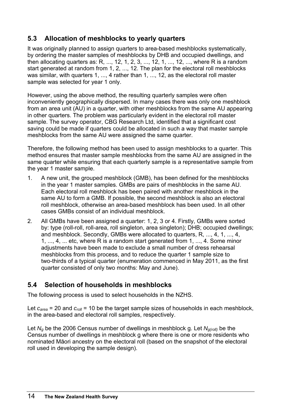# <span id="page-17-0"></span>**5.3 Allocation of meshblocks to yearly quarters**

It was originally planned to assign quarters to area-based meshblocks systematically, by ordering the master samples of meshblocks by DHB and occupied dwellings, and then allocating quarters as: R, ..., 12, 1, 2, 3, ..., 12, 1, ..., 12, ..., where R is a random start generated at random from 1, 2, ..., 12. The plan for the electoral roll meshblocks was similar, with quarters 1, ..., 4 rather than 1, ..., 12, as the electoral roll master sample was selected for year 1 only.

However, using the above method, the resulting quarterly samples were often inconveniently geographically dispersed. In many cases there was only one meshblock from an area unit (AU) in a quarter, with other meshblocks from the same AU appearing in other quarters. The problem was particularly evident in the electoral roll master sample. The survey operator, CBG Research Ltd, identified that a significant cost saving could be made if quarters could be allocated in such a way that master sample meshblocks from the same AU were assigned the same quarter.

Therefore, the following method has been used to assign meshblocks to a quarter. This method ensures that master sample meshblocks from the same AU are assigned in the same quarter while ensuring that each quarterly sample is a representative sample from the year 1 master sample.

- 1. A new unit, the grouped meshblock (GMB), has been defined for the meshblocks in the year 1 master samples. GMBs are pairs of meshblocks in the same AU. Each electoral roll meshblock has been paired with another meshblock in the same AU to form a GMB. If possible, the second meshblock is also an electoral roll meshblock, otherwise an area-based meshblock has been used. In all other cases GMBs consist of an individual meshblock.
- 2. All GMBs have been assigned a quarter: 1, 2, 3 or 4. Firstly, GMBs were sorted by: type (roll-roll, roll-area, roll singleton, area singleton); DHB; occupied dwellings; and meshblock. Secondly, GMBs were allocated to quarters, R, ..., 4, 1, ..., 4, 1, ..., 4, ... etc, where R is a random start generated from 1, ..., 4. Some minor adjustments have been made to exclude a small number of dress rehearsal meshblocks from this process, and to reduce the quarter 1 sample size to two-thirds of a typical quarter (enumeration commenced in May 2011, as the first quarter consisted of only two months: May and June).

### **5.4 Selection of households in meshblocks**

The following process is used to select households in the NZHS.

Let  $c_{area}$  = 20 and  $c_{roll}$  = 10 be the target sample sizes of households in each meshblock, in the area-based and electoral roll samples, respectively.

Let *Ng* be the 2006 Census number of dwellings in meshblock g. Let *Ng(roll)* be the Census number of dwellings in meshblock g where there is one or more residents who nominated Māori ancestry on the electoral roll (based on the snapshot of the electoral roll used in developing the sample design).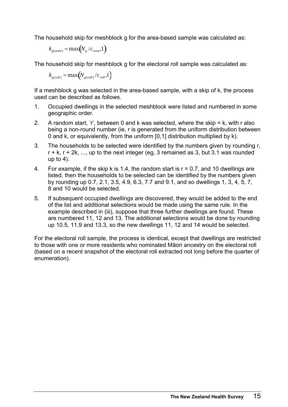The household skip for meshblock g for the area-based sample was calculated as:

$$
k_{g(area)} = \max(N_g/c_{area}, 1)
$$

The household skip for meshblock g for the electoral roll sample was calculated as:

$$
k_{g\left(\text{roll}\right)} = \max\left(N_{g\left(\text{roll}\right)}/c_{\text{roll}}, 1\right)
$$

If a meshblock g was selected in the area-based sample, with a skip of k, the process used can be described as follows.

- 1. Occupied dwellings in the selected meshblock were listed and numbered in some geographic order.
- 2. A random start, 'r', between 0 and k was selected, where the skip = k, with r also being a non-round number (ie, r is generated from the uniform distribution between 0 and k, or equivalently, from the uniform [0,1] distribution multiplied by k).
- 3. The households to be selected were identified by the numbers given by rounding r,  $r + k$ ,  $r + 2k$ , ..., up to the next integer (eg, 3 remained as 3, but 3.1 was rounded up to  $4$ ).
- 4. For example, if the skip k is 1.4, the random start is  $r = 0.7$ , and 10 dwellings are listed, then the households to be selected can be identified by the numbers given by rounding up 0.7, 2.1, 3.5, 4.9, 6.3, 7.7 and 9.1, and so dwellings 1, 3, 4, 5, 7, 8 and 10 would be selected.
- 5. If subsequent occupied dwellings are discovered, they would be added to the end of the list and additional selections would be made using the same rule. In the example described in (iii), suppose that three further dwellings are found. These are numbered 11, 12 and 13. The additional selections would be done by rounding up 10.5, 11.9 and 13.3, so the new dwellings 11, 12 and 14 would be selected.

For the electoral roll sample, the process is identical, except that dwellings are restricted to those with one or more residents who nominated Māori ancestry on the electoral roll (based on a recent snapshot of the electoral roll extracted not long before the quarter of enumeration).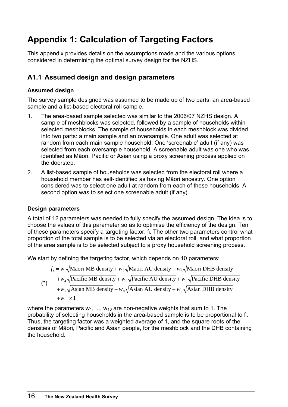# <span id="page-19-0"></span>**Appendix 1: Calculation of Targeting Factors**

This appendix provides details on the assumptions made and the various options considered in determining the optimal survey design for the NZHS.

# **A1.1 Assumed design and design parameters**

### **Assumed design**

The survey sample designed was assumed to be made up of two parts: an area-based sample and a list-based electoral roll sample.

- 1. The area-based sample selected was similar to the 2006/07 NZHS design. A sample of meshblocks was selected, followed by a sample of households within selected meshblocks. The sample of households in each meshblock was divided into two parts: a main sample and an oversample. One adult was selected at random from each main sample household. One 'screenable' adult (if any) was selected from each oversample household. A screenable adult was one who was identified as Māori, Pacific or Asian using a proxy screening process applied on the doorstep.
- 2. A list-based sample of households was selected from the electoral roll where a household member has self-identified as having Māori ancestry. One option considered was to select one adult at random from each of these households. A second option was to select one screenable adult (if any).

#### **Design parameters**

A total of 12 parameters was needed to fully specify the assumed design. The idea is to choose the values of this parameter so as to optimise the efficiency of the design. Ten of these parameters specify a targeting factor, fi. The other two parameters control what proportion of the total sample is to be selected via an electoral roll, and what proportion of the area sample is to be selected subject to a proxy household screening process.

We start by defining the targeting factor, which depends on 10 parameters:

$$
f_i = w_1 \sqrt{\text{Macri MB density}} + w_2 \sqrt{\text{Maori AU density}} + w_3 \sqrt{\text{Maori DHB density}}
$$
  
\n
$$
+ w_4 \sqrt{\text{Pacific MB density}} + w_5 \sqrt{\text{Pacific AU density}} + w_6 \sqrt{\text{Pacific DHB density}}
$$
  
\n
$$
+ w_7 \sqrt{\text{Asian MB density}} + w_8 \sqrt{\text{Asian AU density}} + w_9 \sqrt{\text{Asian DHB density}}
$$
  
\n
$$
+ w_{10} \times 1
$$

where the parameters  $w_1$ , ...,  $w_{10}$  are non-negative weights that sum to 1. The probability of selecting households in the area-based sample is to be proportional to fi. Thus, the targeting factor was a weighted average of 1, and the square roots of the densities of Māori, Pacific and Asian people, for the meshblock and the DHB containing the household.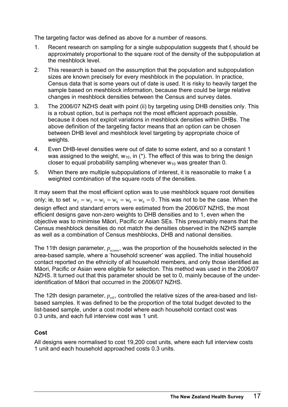The targeting factor was defined as above for a number of reasons.

- 1. Recent research on sampling for a single subpopulation suggests that fi should be approximately proportional to the square root of the density of the subpopulation at the meshblock level.
- 2. This research is based on the assumption that the population and subpopulation sizes are known precisely for every meshblock in the population. In practice, Census data that is some years out of date is used. It is risky to heavily target the sample based on meshblock information, because there could be large relative changes in meshblock densities between the Census and survey dates.
- 3. The 2006/07 NZHS dealt with point (ii) by targeting using DHB densities only. This is a robust option, but is perhaps not the most efficient approach possible, because it does not exploit variations in meshblock densities within DHBs. The above definition of the targeting factor means that an option can be chosen between DHB level and meshblock level targeting by appropriate choice of weights.
- 4. Even DHB-level densities were out of date to some extent, and so a constant 1 was assigned to the weight,  $w_{10}$ , in (\*). The effect of this was to bring the design closer to equal probability sampling whenever  $w_{10}$  was greater than 0.
- 5. When there are multiple subpopulations of interest, it is reasonable to make fi a weighted combination of the square roots of the densities.

It may seem that the most efficient option was to use meshblock square root densities only; ie, to set  $w_2 = w_3 = w_5 = w_6 = w_8 = w_9 = 0$ . This was not to be the case. When the design effect and standard errors were estimated from the 2006/07 NZHS, the most efficient designs gave non-zero weights to DHB densities and to 1, even when the objective was to minimise Māori, Pacific or Asian SEs. This presumably means that the Census meshblock densities do not match the densities observed in the NZHS sample as well as a combination of Census meshblocks, DHB and national densities.

The 11th design parameter,  $p_{\rm screen}$ , was the proportion of the households selected in the area-based sample, where a 'household screener' was applied. The initial household contact reported on the ethnicity of all household members, and only those identified as Māori, Pacific or Asian were eligible for selection. This method was used in the 2006/07 NZHS. It turned out that this parameter should be set to 0, mainly because of the underidentification of Māori that occurred in the 2006/07 NZHS.

The 12th design parameter,  $p_{\rm roll}$ , controlled the relative sizes of the area-based and listbased samples. It was defined to be the proportion of the total budget devoted to the list-based sample, under a cost model where each household contact cost was 0.3 units, and each full interview cost was 1 unit.

#### **Cost**

All designs were normalised to cost 19,200 cost units, where each full interview costs 1 unit and each household approached costs 0.3 units.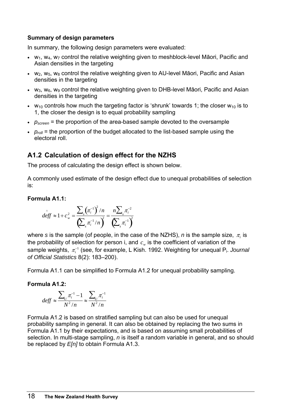#### **Summary of design parameters**

In summary, the following design parameters were evaluated:

- $w_1$ ,  $w_4$ ,  $w_7$  control the relative weighting given to meshblock-level Māori, Pacific and Asian densities in the targeting
- $w_2$ ,  $w_5$ ,  $w_8$  control the relative weighting given to AU-level Māori, Pacific and Asian densities in the targeting
- $w_3$ ,  $w_6$ ,  $w_9$  control the relative weighting given to DHB-level Māori, Pacific and Asian densities in the targeting
- $w_{10}$  controls how much the targeting factor is 'shrunk' towards 1; the closer  $w_{10}$  is to 1, the closer the design is to equal probability sampling
- $p_{screen}$  = the proportion of the area-based sample devoted to the oversample
- $p_{roll}$  = the proportion of the budget allocated to the list-based sample using the electoral roll.

### **A1.2 Calculation of design effect for the NZHS**

The process of calculating the design effect is shown below.

A commonly used estimate of the design effect due to unequal probabilities of selection is:

#### **Formula A1.1:**

$$
\hat{deff} \approx 1 + c_w^2 = \frac{\sum_s (\pi_i^{-1})^2 / n}{\left(\sum_s \pi_i^{-1} / n\right)^2} = \frac{n \sum_s \pi_i^{-2}}{\left(\sum_s \pi_i^{-1}\right)^2}
$$

where *s* is the sample (of people, in the case of the NZHS), *n* is the sample size, <sup>π</sup>*i* is the probability of selection for person i, and  $c_w$  is the coefficient of variation of the sample weights,  $\pi_i^{-1}$  (see, for example, L Kish. 1992. Weighting for unequal P<sub>i</sub>. *Journal of Official Statistics* 8(2): 183–200).

Formula A1.1 can be simplified to Formula A1.2 for unequal probability sampling.

#### **Formula A1.2:**

$$
def f \approx \frac{\sum_{U} \pi_i^{-1} - 1}{N^2/n} \approx \frac{\sum_{U} \pi_i^{-1}}{N^2/n}
$$

Formula A1.2 is based on stratified sampling but can also be used for unequal probability sampling in general. It can also be obtained by replacing the two sums in Formula A1.1 by their expectations, and is based on assuming small probabilities of selection. In multi-stage sampling, *n* is itself a random variable in general, and so should be replaced by *E[n]* to obtain Formula A1.3.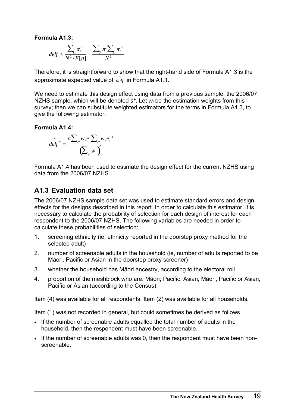**Formula A1.3:** 

$$
deff \approx \frac{\sum_{U} \pi_i^{-1}}{N^2 / E[n]} = \frac{\sum_{U} \pi_i \sum_{U} \pi_i^{-1}}{N^2}
$$

Therefore, it is straightforward to show that the right-hand side of Formula A1.3 is the approximate expected value of *deff* in Formula A1.1. ^

We need to estimate this design effect using data from a previous sample, the 2006/07 NZHS sample, which will be denoted *s\**. Let *wi* be the estimation weights from this survey; then we can substitute weighted estimators for the terms in Formula A1.3, to give the following estimator:

#### **Formula A1.4:**

$$
deff^* = \frac{n\sum_{s^*} w_i \pi_i \sum_{s^*} w_i \pi_i^{-1}}{\left(\sum_{s^*} w_i\right)^2}
$$

Formula A1.4 has been used to estimate the design effect for the current NZHS using data from the 2006/07 NZHS.

### **A1.3 Evaluation data set**

The 2006/07 NZHS sample data set was used to estimate standard errors and design effects for the designs described in this report. In order to calculate this estimator, it is necessary to calculate the probability of selection for each design of interest for each respondent to the 2006/07 NZHS. The following variables are needed in order to calculate these probabilities of selection:

- 1. screening ethnicity (ie, ethnicity reported in the doorstep proxy method for the selected adult)
- 2. number of screenable adults in the household (ie, number of adults reported to be Māori, Pacific or Asian in the doorstep proxy screener)
- 3. whether the household has Māori ancestry, according to the electoral roll
- 4. proportion of the meshblock who are: Māori; Pacific; Asian; Māori, Pacific or Asian; Pacific or Asian (according to the Census).

Item (4) was available for all respondents. Item (2) was available for all households.

Item (1) was not recorded in general, but could sometimes be derived as follows.

- If the number of screenable adults equalled the total number of adults in the household, then the respondent must have been screenable.
- If the number of screenable adults was 0, then the respondent must have been nonscreenable.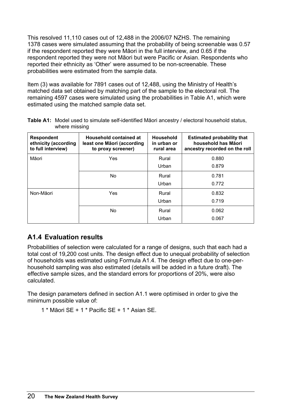<span id="page-23-0"></span>This resolved 11,110 cases out of 12,488 in the 2006/07 NZHS. The remaining 1378 cases were simulated assuming that the probability of being screenable was 0.57 if the respondent reported they were Māori in the full interview, and 0.65 if the respondent reported they were not Māori but were Pacific or Asian. Respondents who reported their ethnicity as 'Other' were assumed to be non-screenable. These probabilities were estimated from the sample data.

Item (3) was available for 7891 cases out of 12,488, using the Ministry of Health's matched data set obtained by matching part of the sample to the electoral roll. The remaining 4597 cases were simulated using the probabilities in Table A1, which were estimated using the matched sample data set.

| <b>Respondent</b><br>ethnicity (according<br>to full interview) | Household contained at<br>least one Māori (according<br>to proxy screener) | <b>Household</b><br>in urban or<br>rural area | <b>Estimated probability that</b><br>household has Māori<br>ancestry recorded on the roll |  |  |  |
|-----------------------------------------------------------------|----------------------------------------------------------------------------|-----------------------------------------------|-------------------------------------------------------------------------------------------|--|--|--|
| Māori                                                           | Yes                                                                        |                                               | 0.880                                                                                     |  |  |  |
|                                                                 |                                                                            | Urban                                         | 0.879                                                                                     |  |  |  |
|                                                                 | No                                                                         | Rural                                         | 0.781                                                                                     |  |  |  |
|                                                                 |                                                                            | Urban                                         | 0.772                                                                                     |  |  |  |
| Non-Māori                                                       | Yes                                                                        | Rural                                         | 0.832                                                                                     |  |  |  |
|                                                                 |                                                                            | Urban                                         | 0.719                                                                                     |  |  |  |
|                                                                 | No                                                                         | Rural                                         | 0.062                                                                                     |  |  |  |
|                                                                 |                                                                            | Urban                                         | 0.067                                                                                     |  |  |  |

**Table A1:** Model used to simulate self-identified Māori ancestry / electoral household status, where missing

# **A1.4 Evaluation results**

Probabilities of selection were calculated for a range of designs, such that each had a total cost of 19,200 cost units. The design effect due to unequal probability of selection of households was estimated using Formula A1.4. The design effect due to one-perhousehold sampling was also estimated (details will be added in a future draft). The effective sample sizes, and the standard errors for proportions of 20%, were also calculated.

The design parameters defined in section A1.1 were optimised in order to give the minimum possible value of:

```
1 * Māori SE + 1 * Pacific SE + 1 * Asian SE.
```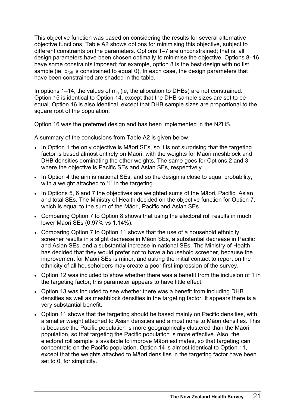This objective function was based on considering the results for several alternative objective functions. Table A2 shows options for minimising this objective, subject to different constraints on the parameters. Options 1–7 are unconstrained; that is, all design parameters have been chosen optimally to minimise the objective. Options 8–16 have some constraints imposed; for example, option 8 is the best design with no list sample (ie,  $p_{roll}$  is constrained to equal 0). In each case, the design parameters that have been constrained are shaded in the table.

In options 1–14, the values of  $m_h$  (ie, the allocation to DHBs) are not constrained. Option 15 is identical to Option 14, except that the DHB sample sizes are set to be equal. Option 16 is also identical, except that DHB sample sizes are proportional to the square root of the population.

Option 16 was the preferred design and has been implemented in the NZHS.

A summary of the conclusions from Table A2 is given below.

- In Option 1 the only objective is Māori SEs, so it is not surprising that the targeting factor is based almost entirely on Māori, with the weights for Māori meshblock and DHB densities dominating the other weights. The same goes for Options 2 and 3, where the objective is Pacific SEs and Asian SEs, respectively.
- In Option 4 the aim is national SEs, and so the design is close to equal probability, with a weight attached to '1' in the targeting.
- In Options 5, 6 and 7 the objectives are weighted sums of the Māori, Pacific, Asian and total SEs. The Ministry of Health decided on the objective function for Option 7, which is equal to the sum of the Māori, Pacific and Asian SEs.
- Comparing Option 7 to Option 8 shows that using the electoral roll results in much lower Māori SEs (0.97% vs 1.14%).
- Comparing Option 7 to Option 11 shows that the use of a household ethnicity screener results in a slight decrease in Māori SEs, a substantial decrease in Pacific and Asian SEs, and a substantial increase in national SEs. The Ministry of Health has decided that they would prefer not to have a household screener, because the improvement for Māori SEs is minor, and asking the initial contact to report on the ethnicity of all householders may create a poor first impression of the survey.
- Option 12 was included to show whether there was a benefit from the inclusion of 1 in the targeting factor; this parameter appears to have little effect.
- Option 13 was included to see whether there was a benefit from including DHB densities as well as meshblock densities in the targeting factor. It appears there is a very substantial benefit.
- Option 11 shows that the targeting should be based mainly on Pacific densities, with a smaller weight attached to Asian densities and almost none to Māori densities. This is because the Pacific population is more geographically clustered than the Māori population, so that targeting the Pacific population is more effective. Also, the electoral roll sample is available to improve Māori estimates, so that targeting can concentrate on the Pacific population. Option 14 is almost identical to Option 11, except that the weights attached to Māori densities in the targeting factor have been set to 0, for simplicity.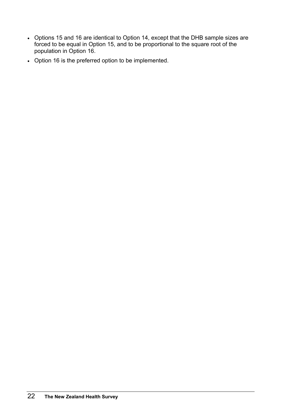- Options 15 and 16 are identical to Option 14, except that the DHB sample sizes are forced to be equal in Option 15, and to be proportional to the square root of the population in Option 16.
- Option 16 is the preferred option to be implemented.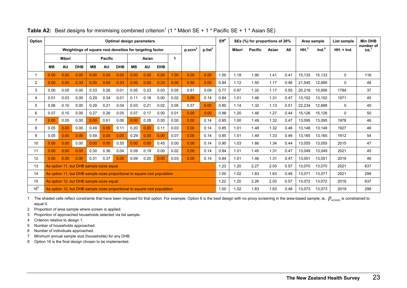| Option         | Optimal design parameters                                                       |                                          |            |           |                |                                                                           |      |           |            |               | Eff <sup>4</sup> |       | SEs (%) for proportions of 20% |       |        |                 | Area sample       | List sample | <b>Min DHB</b>                |              |     |
|----------------|---------------------------------------------------------------------------------|------------------------------------------|------------|-----------|----------------|---------------------------------------------------------------------------|------|-----------|------------|---------------|------------------|-------|--------------------------------|-------|--------|-----------------|-------------------|-------------|-------------------------------|--------------|-----|
|                | p.scrn <sup>2</sup><br>Weightings of square root densities for targeting factor |                                          |            |           |                |                                                                           |      |           |            | $p$ .list $3$ |                  | Māori | <b>Pacific</b>                 | Asian | All    | HH <sup>5</sup> | Ind. <sup>6</sup> | $HH = Ind.$ | number of<br>int <sup>7</sup> |              |     |
|                |                                                                                 | Māori                                    |            |           | <b>Pacific</b> |                                                                           |      | Asian     |            | 1             |                  |       |                                |       |        |                 |                   |             |                               |              |     |
|                | <b>MB</b>                                                                       | AU                                       | <b>DHB</b> | <b>MB</b> | <b>AU</b>      | <b>DHB</b>                                                                | MВ   | <b>AU</b> | <b>DHB</b> |               |                  |       |                                |       |        |                 |                   |             |                               |              |     |
| 1              | 0.00                                                                            | 0.00                                     | 0.00       | 0.00      | 0.00           | 0.00                                                                      | 0.00 | 0.00      | 0.00       | 1.00          | 0.00             | 0.00  | 1.00                           | 1.18  | 1.90   | 1.41            | 0.41              | 15.133      | 15,133                        | 0            | 116 |
| $\overline{c}$ | 0.00                                                                            | 0.00                                     | 0.33       | 0.00      | 0.00           | 0.33                                                                      | 0.00 | 0.00      | 0.33       | 0.00          | 0.50             | 0.00  | 0.84                           | 1.12  | 1.50   | 1.17            | 0.46              | 21,545      | 12,890                        | $\Omega$     | 48  |
| 3              | 0.00                                                                            | 0.05                                     | 0.00       | 0.33      | 0.26           | 0.01                                                                      | 0.05 | 0.23      | 0.03       | 0.05          | 0.61             | 0.09  | 0.77                           | 0.97  | 1.32   | 1.17            | 0.55              | 20,218      | 10,956                        | 1784         | 37  |
| 4              | 0.01                                                                            | 0.03                                     | 0.00       | 0.29      | 0.34           | 0.01                                                                      | 0.11 | 0.18      | 0.00       | 0.02          | 0.00             | 0.14  | 0.84                           | 1.01  | 1.46   | 1.31            | 0.47              | 13,102      | 13.102                        | 1971         | 45  |
| 5              | 0.06                                                                            | 0.10                                     | 0.00       | 0.29      | 0.21           | 0.04                                                                      | 0.03 | 0.21      | 0.02       | 0.05          | 0.57             | 0.00  | 0.80                           | 1.14  | 1.32   | 1.13            | 0.51              | 22,234      | 12,688                        | $\mathbf{0}$ | 40  |
| 6              | 0.07                                                                            | 0.10                                     | 0.00       | 0.27      | 0.26           | 0.05                                                                      | 0.07 | 0.17      | 0.00       | 0.01          | 0.00             | 0.00  | 0.88                           | 1.20  | 1.46   | 1.27            | 0.44              | 15,126      | 15,126                        | $\Omega$     | 50  |
| $\overline{7}$ | 0.00                                                                            | 0.05                                     | 0.00       | 0.00      | 0.61           | 0.06                                                                      | 0.00 | 0.28      | 0.00       | 0.00          | 0.00             | 0.14  | 0.85                           | 1.00  | 1.49   | 1.32            | 0.47              | 13,095      | 13,095                        | 1978         | 46  |
| 8              | 0.05                                                                            | 0.00                                     | 0.00       | 0.49      | 0.00           | 0.11                                                                      | 0.20 | 0.00      | 0.11       | 0.03          | 0.00             | 0.14  | 0.85                           | 1.01  | 1.48   | 1.32            | 0.46              | 13,148      | 13,148                        | 1927         | 46  |
| 9              | 0.05                                                                            | 0.00                                     | 0.00       | 0.59      | 0.00           | 0.00                                                                      | 0.29 | 0.00      | 0.00       | 0.07          | 0.00             | 0.14  | 0.85                           | 1.01  | 1.49   | 1.33            | 0.46              | 13,165      | 13,165                        | 1912         | 54  |
| 10             | 0.00                                                                            | 0.00                                     | 0.00       | 0.00      | 0.00           | 0.55                                                                      | 0.00 | 0.00      | 0.45       | 0.00          | 0.00             | 0.14  | 0.90                           | 1.03  | 1.66   | 1.34            | 0.44              | 13,055      | 13,055                        | 2015         | 47  |
| 11             | 0.00                                                                            | 0.00                                     | 0.00       | 0.30      | 0.36           | 0.04                                                                      | 0.09 | 0.19      | 0.00       | 0.02          | 0.00             | 0.14  | 0.84                           | 1.01  | 1.45   | 1.31            | 0.47              | 13,049      | 13,049                        | 2021         | 45  |
| 12             | 0.00                                                                            | 0.00                                     | 0.00       | 0.31      | 0.37           | 0.00                                                                      | 0.09 | 0.20      | 0.00       | 0.03          | 0.00             | 0.14  | 0.84                           | 1.01  | 1.46   | 1.31            | 0.47              | 13,051      | 13,051                        | 2019         | 46  |
| 13             | As option 11, but DHB sample sizes equal                                        |                                          |            |           |                |                                                                           |      |           |            | 1.23          | 1.20             | 2.27  | 2.03                           | 0.57  | 13,070 | 13,070          | 2021              | 637         |                               |              |     |
| 14             | As option 11, but DHB sample sizes proportional to square root population       |                                          |            |           |                |                                                                           |      |           |            |               | 1.00             | 1.02  | 1.83                           | 1.63  | 0.48   | 13,071          | 13,071            | 2021        | 299                           |              |     |
| 15             |                                                                                 | As option 12, but DHB sample sizes equal |            |           |                |                                                                           |      |           |            |               |                  |       | 1.22                           | 1.20  | 2.26   | 2.03            | 0.57              | 13,072      | 13,072                        | 2019         | 637 |
| $16^8$         |                                                                                 |                                          |            |           |                | As option 12, but DHB sample sizes proportional to square root population |      |           |            |               |                  |       | 1.00                           | 1.02  | 1.83   | 1.63            | 0.48              | 13,073      | 13,073                        | 2019         | 298 |

#### **Table A2:** Best designs for minimising combined criterion<sup>1</sup> (1 \* Māori SE + 1 \* Pacific SE + 1 \* Asian SE)

1 The shaded cells reflect constraints that have been imposed for that option. For example, Option 6 is the best design with no proxy screening in the area-based sample; ie,  $\,p_{\rm screen}$  is constrained to equal 0.

- 2 Proportion of area sample where screen is applied.
- 3 Proportion of approached households selected via list sample.
- 4 Criterion relative to design 1.
- 5 Number of households approached.
- 6 Number of individuals approached.
- 7 Minimum annual sample size (households) for any DHB.
- <span id="page-26-0"></span>8 Option 16 is the final design chosen to be implemented.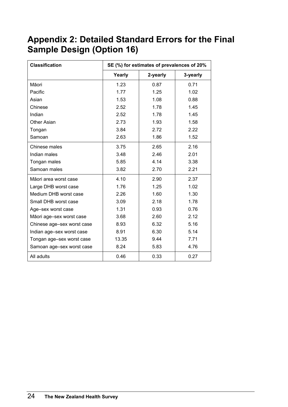# <span id="page-27-0"></span>**Appendix 2: Detailed Standard Errors for the Final Sample Design (Option 16)**

| <b>Classification</b>      | SE (%) for estimates of prevalences of 20% |          |          |  |  |  |
|----------------------------|--------------------------------------------|----------|----------|--|--|--|
|                            | Yearly                                     | 2-yearly | 3-yearly |  |  |  |
| Māori                      | 1.23                                       | 0.87     | 0.71     |  |  |  |
| Pacific                    | 1.77                                       | 1.25     | 1.02     |  |  |  |
| Asian                      | 1.53                                       | 1.08     | 0.88     |  |  |  |
| Chinese                    | 2.52                                       | 1.78     | 1.45     |  |  |  |
| Indian                     | 2.52                                       | 1.78     | 1.45     |  |  |  |
| <b>Other Asian</b>         | 2.73                                       | 1.93     | 1.58     |  |  |  |
| Tongan                     | 3.84                                       | 2.72     | 2.22     |  |  |  |
| Samoan                     | 2.63                                       | 1.86     | 1.52     |  |  |  |
| Chinese males              | 3.75                                       | 2.65     | 2.16     |  |  |  |
| Indian males               | 3.48                                       | 2.46     | 2.01     |  |  |  |
| Tongan males               | 5.85                                       | 4.14     | 3.38     |  |  |  |
| Samoan males               | 3.82                                       | 2.70     | 2.21     |  |  |  |
| Māori area worst case      | 4.10                                       | 2.90     | 2.37     |  |  |  |
| Large DHB worst case       | 1.76                                       | 1.25     | 1.02     |  |  |  |
| Medium DHB worst case      | 2.26                                       | 1.60     | 1.30     |  |  |  |
| Small DHB worst case       | 3.09                                       | 2.18     | 1.78     |  |  |  |
| Age-sex worst case         | 1.31                                       | 0.93     | 0.76     |  |  |  |
| Māori age-sex worst case   | 3.68                                       | 2.60     | 2.12     |  |  |  |
| Chinese age-sex worst case | 8.93                                       | 6.32     | 5.16     |  |  |  |
| Indian age-sex worst case  | 8.91                                       | 6.30     | 5.14     |  |  |  |
| Tongan age-sex worst case  | 13.35                                      | 9.44     | 7.71     |  |  |  |
| Samoan age-sex worst case  | 8.24                                       | 5.83     | 4.76     |  |  |  |
| All adults                 | 0.46                                       | 0.33     | 0.27     |  |  |  |